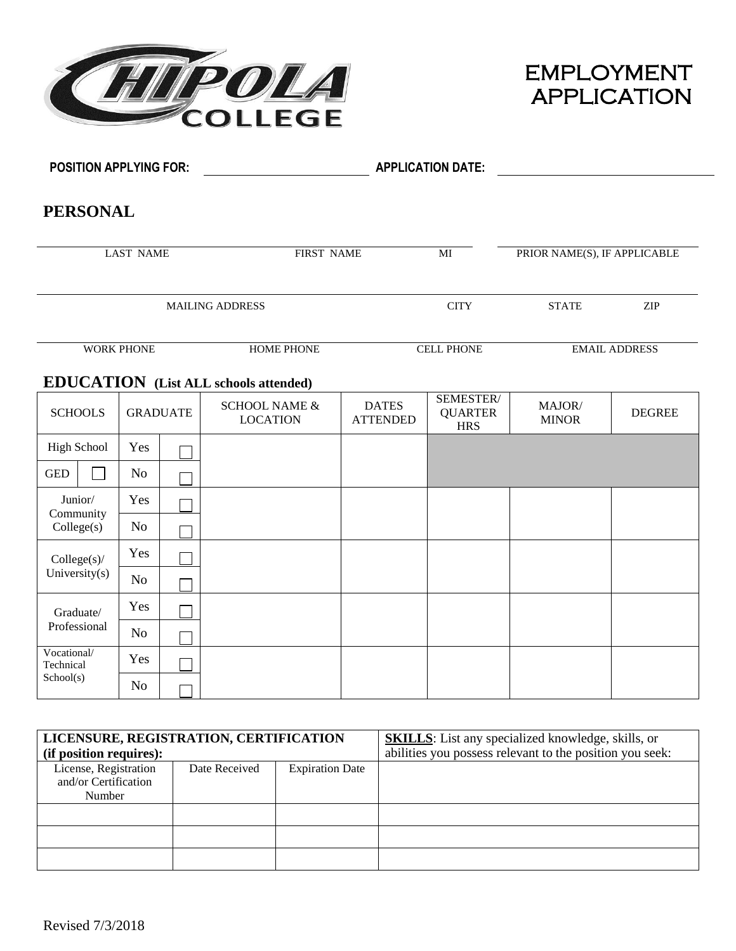



| <b>POSITION APPLYING FOR:</b> |                   |                 |                                              |                                 | <b>APPLICATION DATE:</b>                  |                              |                      |
|-------------------------------|-------------------|-----------------|----------------------------------------------|---------------------------------|-------------------------------------------|------------------------------|----------------------|
| <b>PERSONAL</b>               |                   |                 |                                              |                                 |                                           |                              |                      |
|                               | <b>LAST NAME</b>  |                 | <b>FIRST NAME</b>                            |                                 | $\overline{MI}$                           | PRIOR NAME(S), IF APPLICABLE |                      |
|                               |                   |                 | <b>MAILING ADDRESS</b>                       |                                 | <b>CITY</b>                               | <b>STATE</b>                 | ZIP                  |
|                               | <b>WORK PHONE</b> |                 | <b>HOME PHONE</b>                            |                                 | <b>CELL PHONE</b>                         |                              | <b>EMAIL ADDRESS</b> |
|                               |                   |                 | <b>EDUCATION</b> (List ALL schools attended) |                                 |                                           |                              |                      |
| <b>SCHOOLS</b>                |                   | <b>GRADUATE</b> | <b>SCHOOL NAME &amp;</b><br><b>LOCATION</b>  | <b>DATES</b><br><b>ATTENDED</b> | SEMESTER/<br><b>QUARTER</b><br><b>HRS</b> | MAJOR/<br><b>MINOR</b>       | <b>DEGREE</b>        |
| <b>High School</b>            | Yes               |                 |                                              |                                 |                                           |                              |                      |
| <b>GED</b>                    | N <sub>o</sub>    |                 |                                              |                                 |                                           |                              |                      |
| Junior/<br>Community          | Yes               |                 |                                              |                                 |                                           |                              |                      |
| Collect(s)                    | N <sub>o</sub>    |                 |                                              |                                 |                                           |                              |                      |
| Collect(s)                    | Yes               |                 |                                              |                                 |                                           |                              |                      |
| University(s)                 | N <sub>o</sub>    |                 |                                              |                                 |                                           |                              |                      |
| Graduate/                     | Yes               |                 |                                              |                                 |                                           |                              |                      |
| Professional                  | N <sub>o</sub>    |                 |                                              |                                 |                                           |                              |                      |
| Vocational/<br>Technical      | Yes               |                 |                                              |                                 |                                           |                              |                      |
| School(s)                     | N <sub>o</sub>    |                 |                                              |                                 |                                           |                              |                      |

| LICENSURE, REGISTRATION, CERTIFICATION |               |                        | <b>SKILLS:</b> List any specialized knowledge, skills, or |
|----------------------------------------|---------------|------------------------|-----------------------------------------------------------|
| (if position requires):                |               |                        | abilities you possess relevant to the position you seek:  |
| License, Registration                  | Date Received | <b>Expiration Date</b> |                                                           |
| and/or Certification                   |               |                        |                                                           |
| Number                                 |               |                        |                                                           |
|                                        |               |                        |                                                           |
|                                        |               |                        |                                                           |
|                                        |               |                        |                                                           |
|                                        |               |                        |                                                           |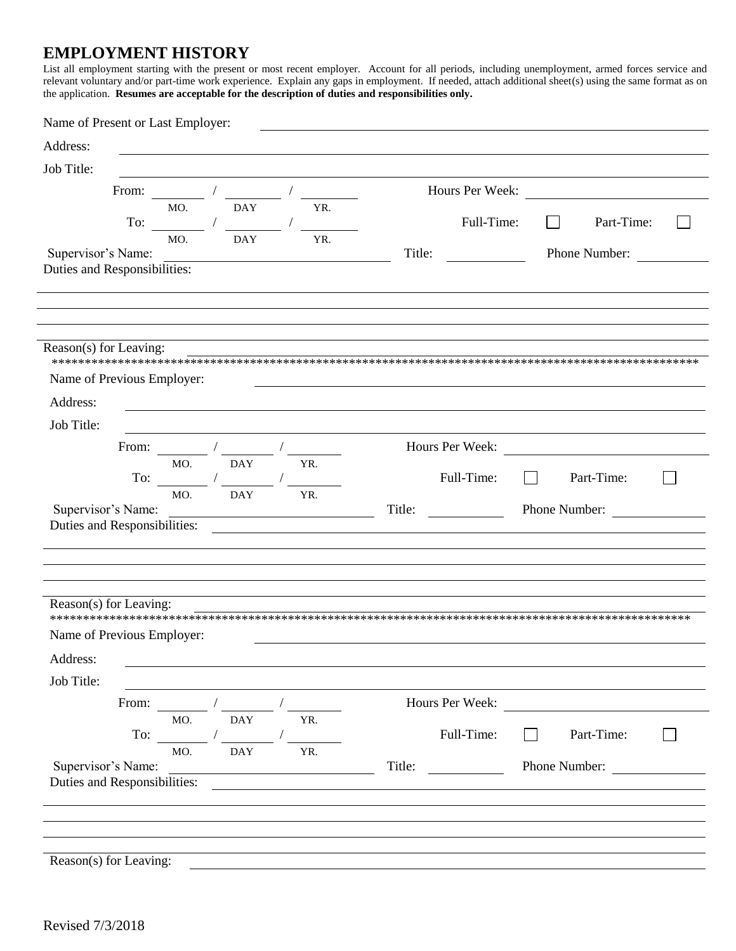#### **EMPLOYMENT HISTORY**

List all employment starting with the present or most recent employer. Account for all periods, including unemployment, armed forces service and relevant voluntary and/or part-time work experience. Explain any gaps in empl the application. Resumes are acceptable for the description of duties and responsibilities only.

| Name of Present or Last Employer:                  |                             |            |                                                                                                                                                                                                                                                                                                                                                                             |                 |                                                                                                                                                                                                                                      |  |
|----------------------------------------------------|-----------------------------|------------|-----------------------------------------------------------------------------------------------------------------------------------------------------------------------------------------------------------------------------------------------------------------------------------------------------------------------------------------------------------------------------|-----------------|--------------------------------------------------------------------------------------------------------------------------------------------------------------------------------------------------------------------------------------|--|
| Address:                                           |                             |            |                                                                                                                                                                                                                                                                                                                                                                             |                 |                                                                                                                                                                                                                                      |  |
| Job Title:                                         |                             |            |                                                                                                                                                                                                                                                                                                                                                                             |                 |                                                                                                                                                                                                                                      |  |
|                                                    |                             | From: /    | $\begin{picture}(20,20) \put(0,0){\dashbox{0.5}(5,0){ }} \put(15,0){\dashbox{0.5}(5,0){ }} \put(15,0){\dashbox{0.5}(5,0){ }} \put(15,0){\dashbox{0.5}(5,0){ }} \put(15,0){\dashbox{0.5}(5,0){ }} \put(15,0){\dashbox{0.5}(5,0){ }} \put(15,0){\dashbox{0.5}(5,0){ }} \put(15,0){\dashbox{0.5}(5,0){ }} \put(15,0){\dashbox{0.5}(5,0){ }} \put(15,0){\dashbox{0.5}(5,0){ }}$ | Hours Per Week: | <u>and the community of the community of the community of the community of the community of the community of the community of the community of the community of the community of the community of the community of the community</u> |  |
|                                                    | MO.                         | DAY        | YR.                                                                                                                                                                                                                                                                                                                                                                         |                 |                                                                                                                                                                                                                                      |  |
| To:                                                | MO.                         | DAY        | YR.                                                                                                                                                                                                                                                                                                                                                                         | Full-Time:      | Part-Time:<br>$\Box$                                                                                                                                                                                                                 |  |
| Supervisor's Name:                                 |                             |            |                                                                                                                                                                                                                                                                                                                                                                             | Title:          | Phone Number:                                                                                                                                                                                                                        |  |
| Duties and Responsibilities:                       |                             |            |                                                                                                                                                                                                                                                                                                                                                                             |                 |                                                                                                                                                                                                                                      |  |
|                                                    |                             |            |                                                                                                                                                                                                                                                                                                                                                                             |                 |                                                                                                                                                                                                                                      |  |
|                                                    |                             |            |                                                                                                                                                                                                                                                                                                                                                                             |                 |                                                                                                                                                                                                                                      |  |
| Reason(s) for Leaving:                             |                             |            |                                                                                                                                                                                                                                                                                                                                                                             |                 |                                                                                                                                                                                                                                      |  |
| Name of Previous Employer:                         |                             |            |                                                                                                                                                                                                                                                                                                                                                                             |                 |                                                                                                                                                                                                                                      |  |
| Address:                                           |                             |            |                                                                                                                                                                                                                                                                                                                                                                             |                 |                                                                                                                                                                                                                                      |  |
| Job Title:                                         |                             |            |                                                                                                                                                                                                                                                                                                                                                                             |                 |                                                                                                                                                                                                                                      |  |
| From:                                              |                             |            |                                                                                                                                                                                                                                                                                                                                                                             | Hours Per Week: |                                                                                                                                                                                                                                      |  |
|                                                    | MO.                         | <b>DAY</b> | YR.                                                                                                                                                                                                                                                                                                                                                                         |                 |                                                                                                                                                                                                                                      |  |
| To:                                                |                             |            |                                                                                                                                                                                                                                                                                                                                                                             | Full-Time:      | Part-Time:                                                                                                                                                                                                                           |  |
| Supervisor's Name:                                 | MO.                         | <b>DAY</b> | YR.                                                                                                                                                                                                                                                                                                                                                                         | Title:          | Phone Number:                                                                                                                                                                                                                        |  |
|                                                    |                             |            |                                                                                                                                                                                                                                                                                                                                                                             |                 |                                                                                                                                                                                                                                      |  |
|                                                    |                             |            |                                                                                                                                                                                                                                                                                                                                                                             |                 |                                                                                                                                                                                                                                      |  |
|                                                    |                             |            |                                                                                                                                                                                                                                                                                                                                                                             |                 |                                                                                                                                                                                                                                      |  |
|                                                    |                             |            |                                                                                                                                                                                                                                                                                                                                                                             |                 |                                                                                                                                                                                                                                      |  |
| Reason(s) for Leaving:                             |                             |            |                                                                                                                                                                                                                                                                                                                                                                             |                 |                                                                                                                                                                                                                                      |  |
| Name of Previous Employer:                         |                             |            |                                                                                                                                                                                                                                                                                                                                                                             |                 |                                                                                                                                                                                                                                      |  |
| Address:                                           |                             |            |                                                                                                                                                                                                                                                                                                                                                                             |                 |                                                                                                                                                                                                                                      |  |
| Job Title:                                         |                             |            |                                                                                                                                                                                                                                                                                                                                                                             |                 |                                                                                                                                                                                                                                      |  |
| From:                                              |                             |            |                                                                                                                                                                                                                                                                                                                                                                             | Hours Per Week: |                                                                                                                                                                                                                                      |  |
|                                                    | MO.                         | <b>DAY</b> | YR.                                                                                                                                                                                                                                                                                                                                                                         |                 |                                                                                                                                                                                                                                      |  |
|                                                    | $\Gamma$ o: $\qquad \qquad$ |            |                                                                                                                                                                                                                                                                                                                                                                             | Full-Time:      | Part-Time:                                                                                                                                                                                                                           |  |
|                                                    | MO.                         | <b>DAY</b> | YR.                                                                                                                                                                                                                                                                                                                                                                         |                 |                                                                                                                                                                                                                                      |  |
| Supervisor's Name:<br>Duties and Responsibilities: |                             |            |                                                                                                                                                                                                                                                                                                                                                                             | Title:          | Phone Number:                                                                                                                                                                                                                        |  |
|                                                    |                             |            |                                                                                                                                                                                                                                                                                                                                                                             |                 |                                                                                                                                                                                                                                      |  |
|                                                    |                             |            |                                                                                                                                                                                                                                                                                                                                                                             |                 |                                                                                                                                                                                                                                      |  |
|                                                    |                             |            |                                                                                                                                                                                                                                                                                                                                                                             |                 |                                                                                                                                                                                                                                      |  |
| Reason(s) for Leaving:                             |                             |            |                                                                                                                                                                                                                                                                                                                                                                             |                 |                                                                                                                                                                                                                                      |  |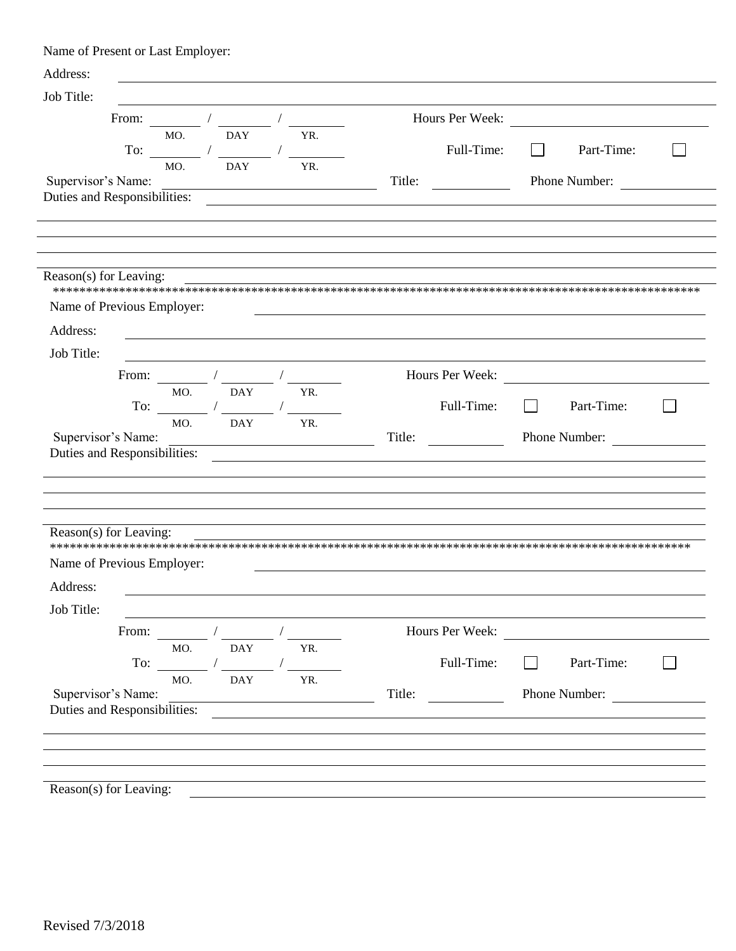Name of Present or Last Employer:

| Hours Per Week:<br>From: $\qquad \qquad / \qquad \qquad /$<br><u> 1989 - Jan Barbara (j. 1989)</u><br><b>DAY</b><br>MO.<br>YR.<br>Full-Time:<br>Part-Time:<br>To: $\frac{1}{\sqrt{1-\frac{1}{2}}}\frac{1}{\sqrt{1-\frac{1}{2}}\sqrt{1-\frac{1}{2}}\sqrt{1-\frac{1}{2}}\sqrt{1-\frac{1}{2}}\sqrt{1-\frac{1}{2}}\sqrt{1-\frac{1}{2}}\sqrt{1-\frac{1}{2}}\sqrt{1-\frac{1}{2}}\sqrt{1-\frac{1}{2}}\sqrt{1-\frac{1}{2}}\sqrt{1-\frac{1}{2}}\sqrt{1-\frac{1}{2}}\sqrt{1-\frac{1}{2}}\sqrt{1-\frac{1}{2}}\sqrt{1-\frac{1}{2}}\sqrt{1-\frac{1}{2}}\sqrt{1-\frac{1}{2}}\sqrt{1-\frac{1$<br>$\blacksquare$<br>MO.<br><b>DAY</b><br>YR.<br>Title:<br>Phone Number:<br><u> 1980 - Johann Barn, fransk politik (f. 1980)</u><br>From: $\frac{1}{\sqrt{1-\frac{1}{2}}}\left(\frac{1}{\sqrt{1-\frac{1}{2}}}\right)$<br>Hours Per Week:<br><b>DAY</b><br>MO.<br>YR.<br>Full-Time:<br>Part-Time:<br>To: $\qquad \qquad \qquad$<br>$\Box$<br>MO.<br><b>DAY</b><br>YR.<br>Supervisor's Name:<br>Title:<br>Phone Number:<br>Job Title:<br>Hours Per Week:<br>From:<br><u> 1980 - Jan Stein Stein Stein Stein Stein Stein Stein Stein Stein Stein Stein Stein Stein Stein Stein Stein S</u><br>YR.<br>MO.<br><b>DAY</b><br>Full-Time:<br>$\Gamma$ o: $\qquad \qquad \qquad$<br>Part-Time:<br><b>DAY</b><br>MO.<br>YR.<br>Supervisor's Name:<br>Phone Number:<br>Title:<br><u> 1989 - Johann Barbara, martin amerikan basar dan berasal dan berasal dalam basar dalam basar dalam basar dala</u> | Address:   |  |  |  |
|----------------------------------------------------------------------------------------------------------------------------------------------------------------------------------------------------------------------------------------------------------------------------------------------------------------------------------------------------------------------------------------------------------------------------------------------------------------------------------------------------------------------------------------------------------------------------------------------------------------------------------------------------------------------------------------------------------------------------------------------------------------------------------------------------------------------------------------------------------------------------------------------------------------------------------------------------------------------------------------------------------------------------------------------------------------------------------------------------------------------------------------------------------------------------------------------------------------------------------------------------------------------------------------------------------------------------------------------------------------------------------------------------------------------------------------------------------------------------|------------|--|--|--|
|                                                                                                                                                                                                                                                                                                                                                                                                                                                                                                                                                                                                                                                                                                                                                                                                                                                                                                                                                                                                                                                                                                                                                                                                                                                                                                                                                                                                                                                                            | Job Title: |  |  |  |
|                                                                                                                                                                                                                                                                                                                                                                                                                                                                                                                                                                                                                                                                                                                                                                                                                                                                                                                                                                                                                                                                                                                                                                                                                                                                                                                                                                                                                                                                            |            |  |  |  |
| Supervisor's Name:                                                                                                                                                                                                                                                                                                                                                                                                                                                                                                                                                                                                                                                                                                                                                                                                                                                                                                                                                                                                                                                                                                                                                                                                                                                                                                                                                                                                                                                         |            |  |  |  |
| Duties and Responsibilities:<br>Job Title:<br>Reason(s) for Leaving:<br>Address:                                                                                                                                                                                                                                                                                                                                                                                                                                                                                                                                                                                                                                                                                                                                                                                                                                                                                                                                                                                                                                                                                                                                                                                                                                                                                                                                                                                           |            |  |  |  |
| Reason(s) for Leaving:<br>Name of Previous Employer:<br>Address:<br>Duties and Responsibilities:<br>Name of Previous Employer:<br>Duties and Responsibilities:                                                                                                                                                                                                                                                                                                                                                                                                                                                                                                                                                                                                                                                                                                                                                                                                                                                                                                                                                                                                                                                                                                                                                                                                                                                                                                             |            |  |  |  |
|                                                                                                                                                                                                                                                                                                                                                                                                                                                                                                                                                                                                                                                                                                                                                                                                                                                                                                                                                                                                                                                                                                                                                                                                                                                                                                                                                                                                                                                                            |            |  |  |  |
|                                                                                                                                                                                                                                                                                                                                                                                                                                                                                                                                                                                                                                                                                                                                                                                                                                                                                                                                                                                                                                                                                                                                                                                                                                                                                                                                                                                                                                                                            |            |  |  |  |
|                                                                                                                                                                                                                                                                                                                                                                                                                                                                                                                                                                                                                                                                                                                                                                                                                                                                                                                                                                                                                                                                                                                                                                                                                                                                                                                                                                                                                                                                            |            |  |  |  |
|                                                                                                                                                                                                                                                                                                                                                                                                                                                                                                                                                                                                                                                                                                                                                                                                                                                                                                                                                                                                                                                                                                                                                                                                                                                                                                                                                                                                                                                                            |            |  |  |  |
|                                                                                                                                                                                                                                                                                                                                                                                                                                                                                                                                                                                                                                                                                                                                                                                                                                                                                                                                                                                                                                                                                                                                                                                                                                                                                                                                                                                                                                                                            |            |  |  |  |
|                                                                                                                                                                                                                                                                                                                                                                                                                                                                                                                                                                                                                                                                                                                                                                                                                                                                                                                                                                                                                                                                                                                                                                                                                                                                                                                                                                                                                                                                            |            |  |  |  |
|                                                                                                                                                                                                                                                                                                                                                                                                                                                                                                                                                                                                                                                                                                                                                                                                                                                                                                                                                                                                                                                                                                                                                                                                                                                                                                                                                                                                                                                                            |            |  |  |  |
|                                                                                                                                                                                                                                                                                                                                                                                                                                                                                                                                                                                                                                                                                                                                                                                                                                                                                                                                                                                                                                                                                                                                                                                                                                                                                                                                                                                                                                                                            |            |  |  |  |
|                                                                                                                                                                                                                                                                                                                                                                                                                                                                                                                                                                                                                                                                                                                                                                                                                                                                                                                                                                                                                                                                                                                                                                                                                                                                                                                                                                                                                                                                            |            |  |  |  |
|                                                                                                                                                                                                                                                                                                                                                                                                                                                                                                                                                                                                                                                                                                                                                                                                                                                                                                                                                                                                                                                                                                                                                                                                                                                                                                                                                                                                                                                                            |            |  |  |  |
|                                                                                                                                                                                                                                                                                                                                                                                                                                                                                                                                                                                                                                                                                                                                                                                                                                                                                                                                                                                                                                                                                                                                                                                                                                                                                                                                                                                                                                                                            |            |  |  |  |
|                                                                                                                                                                                                                                                                                                                                                                                                                                                                                                                                                                                                                                                                                                                                                                                                                                                                                                                                                                                                                                                                                                                                                                                                                                                                                                                                                                                                                                                                            |            |  |  |  |
|                                                                                                                                                                                                                                                                                                                                                                                                                                                                                                                                                                                                                                                                                                                                                                                                                                                                                                                                                                                                                                                                                                                                                                                                                                                                                                                                                                                                                                                                            |            |  |  |  |
|                                                                                                                                                                                                                                                                                                                                                                                                                                                                                                                                                                                                                                                                                                                                                                                                                                                                                                                                                                                                                                                                                                                                                                                                                                                                                                                                                                                                                                                                            |            |  |  |  |
|                                                                                                                                                                                                                                                                                                                                                                                                                                                                                                                                                                                                                                                                                                                                                                                                                                                                                                                                                                                                                                                                                                                                                                                                                                                                                                                                                                                                                                                                            |            |  |  |  |
|                                                                                                                                                                                                                                                                                                                                                                                                                                                                                                                                                                                                                                                                                                                                                                                                                                                                                                                                                                                                                                                                                                                                                                                                                                                                                                                                                                                                                                                                            |            |  |  |  |
|                                                                                                                                                                                                                                                                                                                                                                                                                                                                                                                                                                                                                                                                                                                                                                                                                                                                                                                                                                                                                                                                                                                                                                                                                                                                                                                                                                                                                                                                            |            |  |  |  |
|                                                                                                                                                                                                                                                                                                                                                                                                                                                                                                                                                                                                                                                                                                                                                                                                                                                                                                                                                                                                                                                                                                                                                                                                                                                                                                                                                                                                                                                                            |            |  |  |  |
|                                                                                                                                                                                                                                                                                                                                                                                                                                                                                                                                                                                                                                                                                                                                                                                                                                                                                                                                                                                                                                                                                                                                                                                                                                                                                                                                                                                                                                                                            |            |  |  |  |
|                                                                                                                                                                                                                                                                                                                                                                                                                                                                                                                                                                                                                                                                                                                                                                                                                                                                                                                                                                                                                                                                                                                                                                                                                                                                                                                                                                                                                                                                            |            |  |  |  |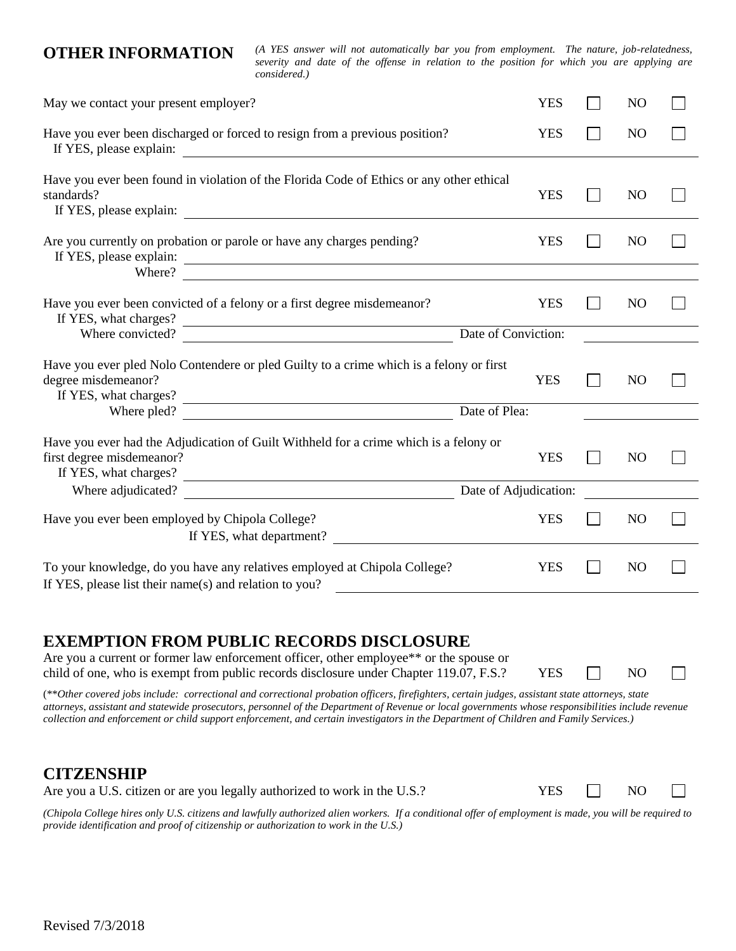**OTHER INFORMATION** *(A YES answer will not automatically bar you from employment. The nature, job-relatedness, severity and date of the offense in relation to the position for which you are applying are considered.)*

| May we contact your present employer?                                                                                                                                                                                                                                                                                                                                                                                                                                                                                                                                                                                                                                                  | <b>YES</b>            | N <sub>O</sub> |  |
|----------------------------------------------------------------------------------------------------------------------------------------------------------------------------------------------------------------------------------------------------------------------------------------------------------------------------------------------------------------------------------------------------------------------------------------------------------------------------------------------------------------------------------------------------------------------------------------------------------------------------------------------------------------------------------------|-----------------------|----------------|--|
| Have you ever been discharged or forced to resign from a previous position?<br>If YES, please explain:                                                                                                                                                                                                                                                                                                                                                                                                                                                                                                                                                                                 | <b>YES</b>            | N <sub>O</sub> |  |
| Have you ever been found in violation of the Florida Code of Ethics or any other ethical<br>standards?                                                                                                                                                                                                                                                                                                                                                                                                                                                                                                                                                                                 | <b>YES</b>            | N <sub>O</sub> |  |
| Are you currently on probation or parole or have any charges pending?<br>Where?                                                                                                                                                                                                                                                                                                                                                                                                                                                                                                                                                                                                        | <b>YES</b>            | N <sub>O</sub> |  |
| Have you ever been convicted of a felony or a first degree misdemeanor?<br>If YES, what charges?                                                                                                                                                                                                                                                                                                                                                                                                                                                                                                                                                                                       | <b>YES</b>            | N <sub>O</sub> |  |
| Where convicted?                                                                                                                                                                                                                                                                                                                                                                                                                                                                                                                                                                                                                                                                       | Date of Conviction:   |                |  |
| Have you ever pled Nolo Contendere or pled Guilty to a crime which is a felony or first<br>degree misdemeanor?<br>If YES, what charges?                                                                                                                                                                                                                                                                                                                                                                                                                                                                                                                                                | <b>YES</b>            | N <sub>O</sub> |  |
| Date of Plea:<br>Where pled?                                                                                                                                                                                                                                                                                                                                                                                                                                                                                                                                                                                                                                                           |                       |                |  |
| Have you ever had the Adjudication of Guilt Withheld for a crime which is a felony or<br>first degree misdemeanor?<br>If YES, what charges?<br><u> 1989 - Johann Stoff, fransk politik (d. 1989)</u>                                                                                                                                                                                                                                                                                                                                                                                                                                                                                   | <b>YES</b>            | N <sub>O</sub> |  |
| Where adjudicated?                                                                                                                                                                                                                                                                                                                                                                                                                                                                                                                                                                                                                                                                     | Date of Adjudication: |                |  |
| Have you ever been employed by Chipola College?<br>If YES, what department?                                                                                                                                                                                                                                                                                                                                                                                                                                                                                                                                                                                                            | <b>YES</b>            | N <sub>O</sub> |  |
| To your knowledge, do you have any relatives employed at Chipola College?<br>If YES, please list their name(s) and relation to you?                                                                                                                                                                                                                                                                                                                                                                                                                                                                                                                                                    | <b>YES</b>            | N <sub>O</sub> |  |
| <b>EXEMPTION FROM PUBLIC RECORDS DISCLOSURE</b><br>Are you a current or former law enforcement officer, other employee** or the spouse or<br>child of one, who is exempt from public records disclosure under Chapter 119.07, F.S.?<br>(**Other covered jobs include: correctional and correctional probation officers, firefighters, certain judges, assistant state attorneys, state<br>attorneys, assistant and statewide prosecutors, personnel of the Department of Revenue or local governments whose responsibilities include revenue<br>collection and enforcement or child support enforcement, and certain investigators in the Department of Children and Family Services.) | <b>YES</b>            | N <sub>O</sub> |  |
| <b>CITZENSHIP</b><br>Are you a U.S. citizen or are you legally authorized to work in the U.S.?                                                                                                                                                                                                                                                                                                                                                                                                                                                                                                                                                                                         | <b>YES</b>            | N <sub>O</sub> |  |

*(Chipola College hires only U.S. citizens and lawfully authorized alien workers. If a conditional offer of employment is made, you will be required to provide identification and proof of citizenship or authorization to work in the U.S.)*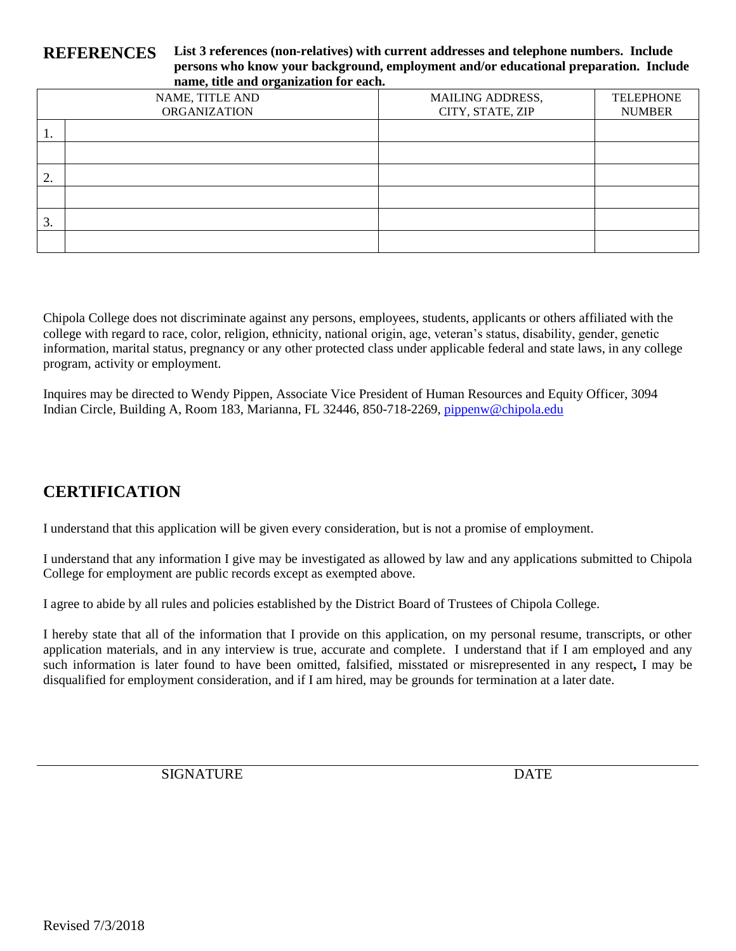#### **REFERENCES List 3 references (non-relatives) with current addresses and telephone numbers. Include persons who know your background, employment and/or educational preparation. Include name, title and organization for each.**

|    | - - - -                                |                                             |                                   |
|----|----------------------------------------|---------------------------------------------|-----------------------------------|
|    | NAME, TITLE AND<br><b>ORGANIZATION</b> | <b>MAILING ADDRESS,</b><br>CITY, STATE, ZIP | <b>TELEPHONE</b><br><b>NUMBER</b> |
| 1. |                                        |                                             |                                   |
|    |                                        |                                             |                                   |
| 2. |                                        |                                             |                                   |
|    |                                        |                                             |                                   |
| 3. |                                        |                                             |                                   |
|    |                                        |                                             |                                   |

Chipola College does not discriminate against any persons, employees, students, applicants or others affiliated with the college with regard to race, color, religion, ethnicity, national origin, age, veteran's status, disability, gender, genetic information, marital status, pregnancy or any other protected class under applicable federal and state laws, in any college program, activity or employment.

Inquires may be directed to Wendy Pippen, Associate Vice President of Human Resources and Equity Officer, 3094 Indian Circle, Building A, Room 183, Marianna, FL 32446, 850-718-2269, [pippenw@chipola.edu](mailto:pippenw@chipola.edu)

### **CERTIFICATION**

I understand that this application will be given every consideration, but is not a promise of employment.

I understand that any information I give may be investigated as allowed by law and any applications submitted to Chipola College for employment are public records except as exempted above.

I agree to abide by all rules and policies established by the District Board of Trustees of Chipola College.

I hereby state that all of the information that I provide on this application, on my personal resume, transcripts, or other application materials, and in any interview is true, accurate and complete. I understand that if I am employed and any such information is later found to have been omitted, falsified, misstated or misrepresented in any respect**,** I may be disqualified for employment consideration, and if I am hired, may be grounds for termination at a later date.

SIGNATURE DATE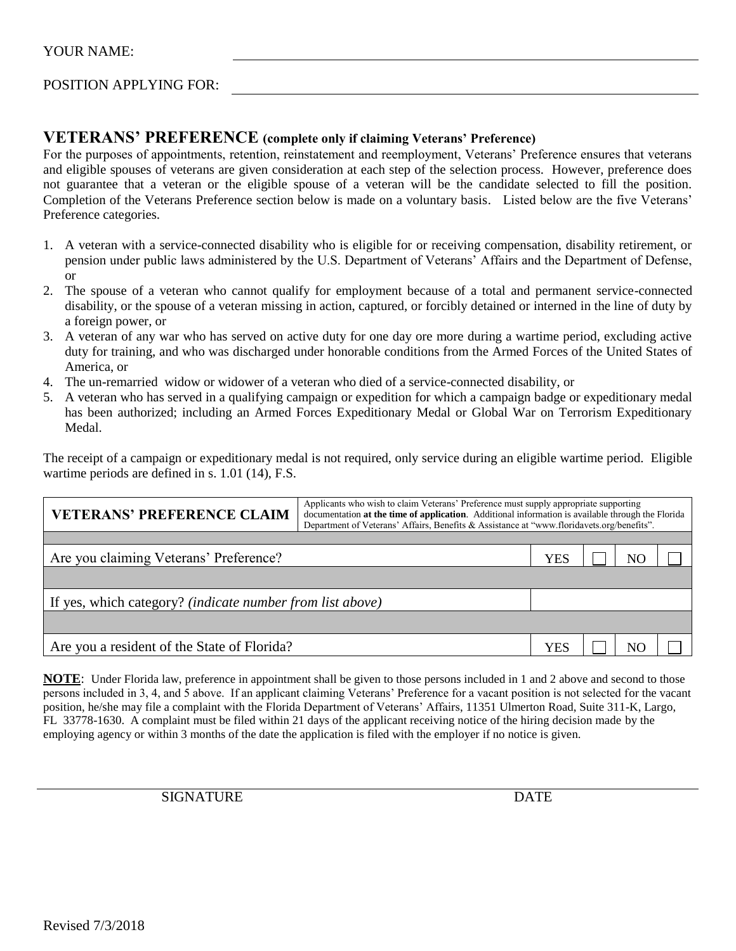#### POSITION APPLYING FOR:

#### **VETERANS' PREFERENCE (complete only if claiming Veterans' Preference)**

For the purposes of appointments, retention, reinstatement and reemployment, Veterans' Preference ensures that veterans and eligible spouses of veterans are given consideration at each step of the selection process. However, preference does not guarantee that a veteran or the eligible spouse of a veteran will be the candidate selected to fill the position. Completion of the Veterans Preference section below is made on a voluntary basis. Listed below are the five Veterans' Preference categories.

- 1. A veteran with a service-connected disability who is eligible for or receiving compensation, disability retirement, or pension under public laws administered by the U.S. Department of Veterans' Affairs and the Department of Defense, or
- 2. The spouse of a veteran who cannot qualify for employment because of a total and permanent service-connected disability, or the spouse of a veteran missing in action, captured, or forcibly detained or interned in the line of duty by a foreign power, or
- 3. A veteran of any war who has served on active duty for one day ore more during a wartime period, excluding active duty for training, and who was discharged under honorable conditions from the Armed Forces of the United States of America, or
- 4. The un-remarried widow or widower of a veteran who died of a service-connected disability, or
- 5. A veteran who has served in a qualifying campaign or expedition for which a campaign badge or expeditionary medal has been authorized; including an Armed Forces Expeditionary Medal or Global War on Terrorism Expeditionary Medal.

The receipt of a campaign or expeditionary medal is not required, only service during an eligible wartime period. Eligible wartime periods are defined in s. 1.01 (14), F.S.

| Applicants who wish to claim Veterans' Preference must supply appropriate supporting<br><b>VETERANS' PREFERENCE CLAIM</b><br>documentation at the time of application. Additional information is available through the Florida<br>Department of Veterans' Affairs, Benefits & Assistance at "www.floridavets.org/benefits". |  |     |  |    |  |  |  |
|-----------------------------------------------------------------------------------------------------------------------------------------------------------------------------------------------------------------------------------------------------------------------------------------------------------------------------|--|-----|--|----|--|--|--|
|                                                                                                                                                                                                                                                                                                                             |  |     |  |    |  |  |  |
| Are you claiming Veterans' Preference?                                                                                                                                                                                                                                                                                      |  | YES |  | NΟ |  |  |  |
|                                                                                                                                                                                                                                                                                                                             |  |     |  |    |  |  |  |
| If yes, which category? <i>(indicate number from list above)</i>                                                                                                                                                                                                                                                            |  |     |  |    |  |  |  |
|                                                                                                                                                                                                                                                                                                                             |  |     |  |    |  |  |  |
| Are you a resident of the State of Florida?                                                                                                                                                                                                                                                                                 |  | YES |  | NΩ |  |  |  |

**NOTE:** Under Florida law, preference in appointment shall be given to those persons included in 1 and 2 above and second to those persons included in 3, 4, and 5 above. If an applicant claiming Veterans' Preference for a vacant position is not selected for the vacant position, he/she may file a complaint with the Florida Department of Veterans' Affairs, 11351 Ulmerton Road, Suite 311-K, Largo, FL 33778-1630. A complaint must be filed within 21 days of the applicant receiving notice of the hiring decision made by the employing agency or within 3 months of the date the application is filed with the employer if no notice is given.

SIGNATURE DATE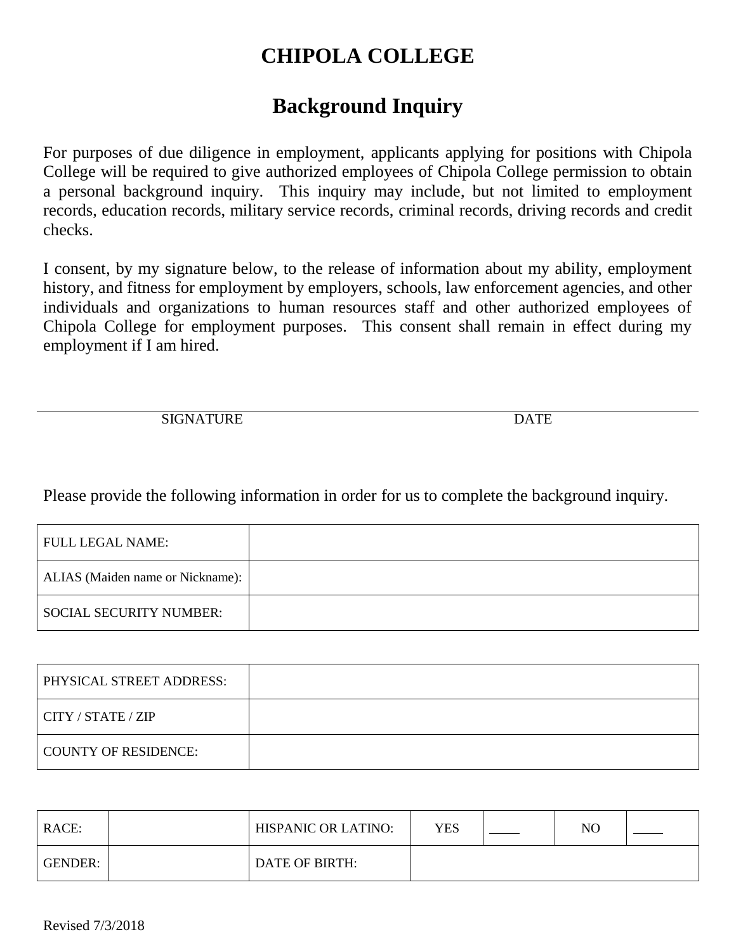# **CHIPOLA COLLEGE**

# **Background Inquiry**

For purposes of due diligence in employment, applicants applying for positions with Chipola College will be required to give authorized employees of Chipola College permission to obtain a personal background inquiry. This inquiry may include, but not limited to employment records, education records, military service records, criminal records, driving records and credit checks.

I consent, by my signature below, to the release of information about my ability, employment history, and fitness for employment by employers, schools, law enforcement agencies, and other individuals and organizations to human resources staff and other authorized employees of Chipola College for employment purposes. This consent shall remain in effect during my employment if I am hired.

SIGNATURE DATE

Please provide the following information in order for us to complete the background inquiry.

| FULL LEGAL NAME:-                |  |
|----------------------------------|--|
| ALIAS (Maiden name or Nickname): |  |
| <b>SOCIAL SECURITY NUMBER:</b>   |  |

| PHYSICAL STREET ADDRESS: |  |
|--------------------------|--|
| CITY / STATE / ZIP       |  |
| COUNTY OF RESIDENCE:     |  |

| RACE:   | HISPANIC OR LATINO: | <b>YES</b> | NO |  |
|---------|---------------------|------------|----|--|
| GENDER: | DATE OF BIRTH:      |            |    |  |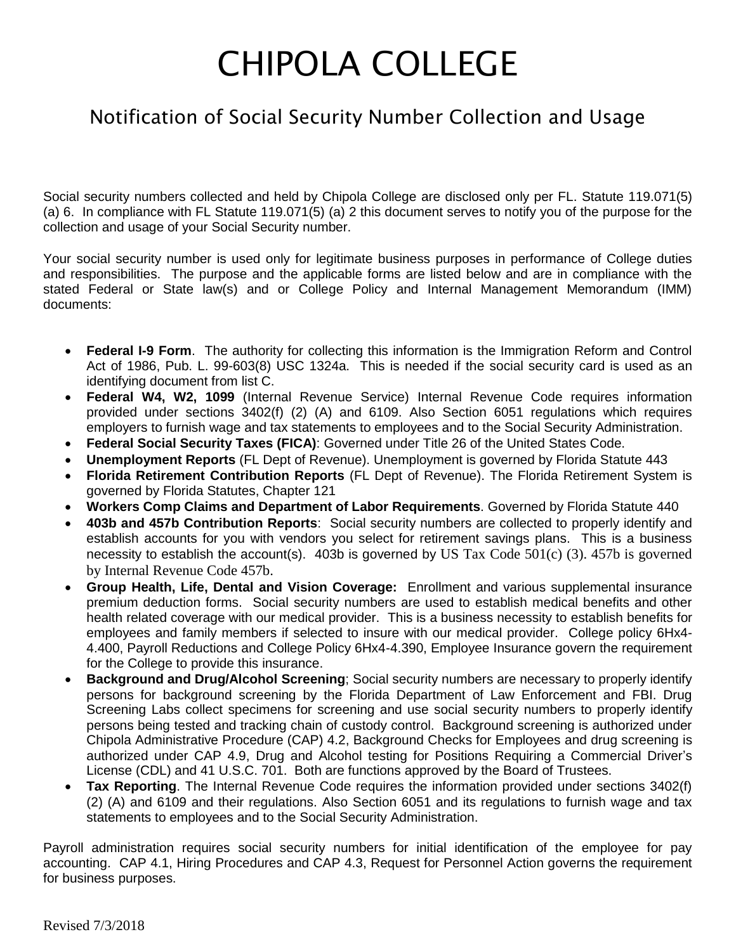# CHIPOLA COLLEGE

## Notification of Social Security Number Collection and Usage

Social security numbers collected and held by Chipola College are disclosed only per FL. Statute 119.071(5) (a) 6. In compliance with FL Statute 119.071(5) (a) 2 this document serves to notify you of the purpose for the collection and usage of your Social Security number.

Your social security number is used only for legitimate business purposes in performance of College duties and responsibilities. The purpose and the applicable forms are listed below and are in compliance with the stated Federal or State law(s) and or College Policy and Internal Management Memorandum (IMM) documents:

- **Federal I-9 Form**. The authority for collecting this information is the Immigration Reform and Control Act of 1986, Pub. L. 99-603(8) USC 1324a. This is needed if the social security card is used as an identifying document from list C.
- **Federal W4, W2, 1099** (Internal Revenue Service) Internal Revenue Code requires information provided under sections 3402(f) (2) (A) and 6109. Also Section 6051 regulations which requires employers to furnish wage and tax statements to employees and to the Social Security Administration.
- **Federal Social Security Taxes (FICA)**: Governed under Title 26 of the United States Code.
- **Unemployment Reports** (FL Dept of Revenue). Unemployment is governed by Florida Statute 443
- **Florida Retirement Contribution Reports** (FL Dept of Revenue). The Florida Retirement System is governed by Florida Statutes, Chapter 121
- **Workers Comp Claims and Department of Labor Requirements**. Governed by Florida Statute 440
- **403b and 457b Contribution Reports**: Social security numbers are collected to properly identify and establish accounts for you with vendors you select for retirement savings plans. This is a business necessity to establish the account(s). 403b is governed by US Tax Code  $501(c)$  (3). 457b is governed by Internal Revenue Code 457b.
- **Group Health, Life, Dental and Vision Coverage:** Enrollment and various supplemental insurance premium deduction forms. Social security numbers are used to establish medical benefits and other health related coverage with our medical provider. This is a business necessity to establish benefits for employees and family members if selected to insure with our medical provider. College policy 6Hx4- 4.400, Payroll Reductions and College Policy 6Hx4-4.390, Employee Insurance govern the requirement for the College to provide this insurance.
- **Background and Drug/Alcohol Screening**; Social security numbers are necessary to properly identify persons for background screening by the Florida Department of Law Enforcement and FBI. Drug Screening Labs collect specimens for screening and use social security numbers to properly identify persons being tested and tracking chain of custody control. Background screening is authorized under Chipola Administrative Procedure (CAP) 4.2, Background Checks for Employees and drug screening is authorized under CAP 4.9, Drug and Alcohol testing for Positions Requiring a Commercial Driver's License (CDL) and 41 U.S.C. 701. Both are functions approved by the Board of Trustees.
- **Tax Reporting**. The Internal Revenue Code requires the information provided under sections 3402(f) (2) (A) and 6109 and their regulations. Also Section 6051 and its regulations to furnish wage and tax statements to employees and to the Social Security Administration.

Payroll administration requires social security numbers for initial identification of the employee for pay accounting. CAP 4.1, Hiring Procedures and CAP 4.3, Request for Personnel Action governs the requirement for business purposes.